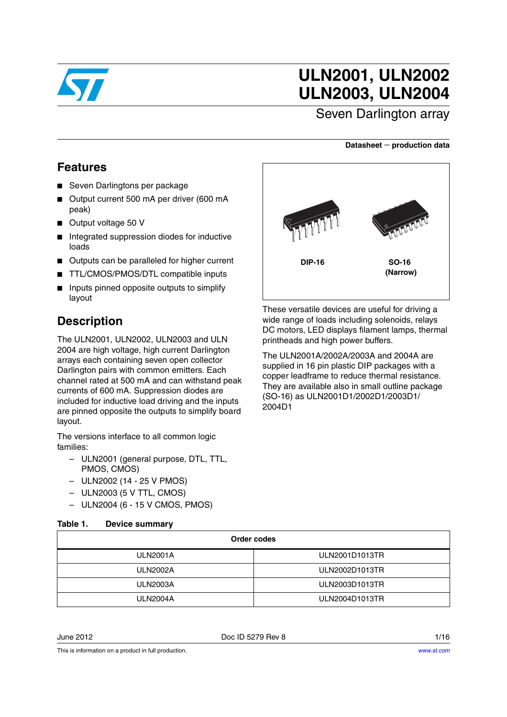

# **ULN2001, ULN2002 ULN2003, ULN2004**

## Seven Darlington array

#### **Datasheet** − **production data**

### **Features**

- Seven Darlingtons per package
- Output current 500 mA per driver (600 mA peak)
- Output voltage 50 V
- Integrated suppression diodes for inductive loads
- Outputs can be paralleled for higher current
- TTL/CMOS/PMOS/DTL compatible inputs
- Inputs pinned opposite outputs to simplify layout

## **Description**

The ULN2001, ULN2002, ULN2003 and ULN 2004 are high voltage, high current Darlington arrays each containing seven open collector Darlington pairs with common emitters. Each channel rated at 500 mA and can withstand peak currents of 600 mA. Suppression diodes are included for inductive load driving and the inputs are pinned opposite the outputs to simplify board layout.

The versions interface to all common logic families:

- ULN2001 (general purpose, DTL, TTL, PMOS, CMOS)
- ULN2002 (14 25 V PMOS)
- ULN2003 (5 V TTL, CMOS)

<span id="page-0-0"></span>**Table 1. Device summary**

– ULN2004 (6 - 15 V CMOS, PMOS)

# These versatile devices are useful for driving a **DIP-16 SO-16 (Narrow)**

wide range of loads including solenoids, relays DC motors, LED displays filament lamps, thermal printheads and high power buffers.

The ULN2001A/2002A/2003A and 2004A are supplied in 16 pin plastic DIP packages with a copper leadframe to reduce thermal resistance. They are available also in small outline package (SO-16) as ULN2001D1/2002D1/2003D1/ 2004D1

| Order codes     |                |  |
|-----------------|----------------|--|
| <b>ULN2001A</b> | ULN2001D1013TR |  |
| <b>ULN2002A</b> | ULN2002D1013TR |  |
| <b>ULN2003A</b> | ULN2003D1013TR |  |
| <b>ULN2004A</b> | ULN2004D1013TR |  |

June 2012 Doc ID 5279 Rev 8 1/16

This is information on a product in full production.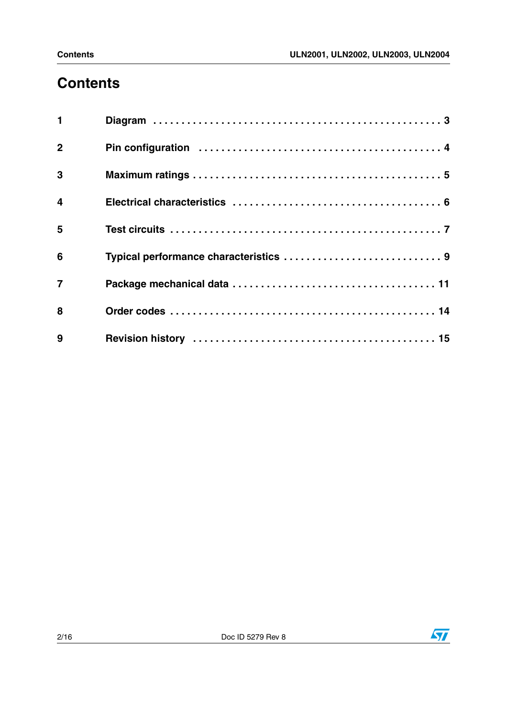# **Contents**

| $\blacksquare$          |                                       |
|-------------------------|---------------------------------------|
| $\overline{2}$          |                                       |
| $\mathbf{3}$            |                                       |
| $\overline{\mathbf{4}}$ |                                       |
| 5                       |                                       |
| 6                       | Typical performance characteristics 9 |
| $\overline{7}$          |                                       |
| 8                       |                                       |
| 9                       |                                       |

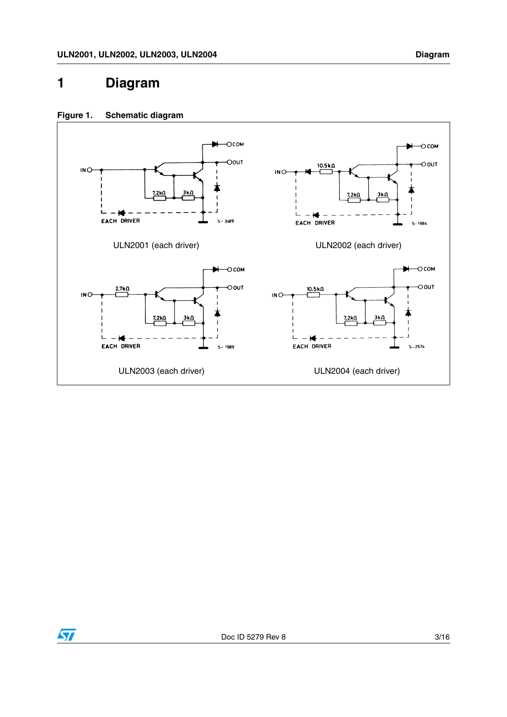## <span id="page-2-0"></span>**1 Diagram**





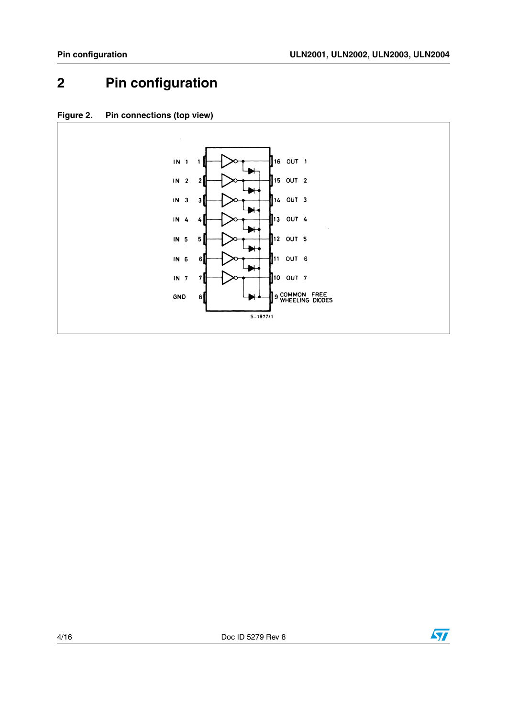# <span id="page-3-0"></span>**2 Pin configuration**



**Figure 2. Pin connections (top view)**

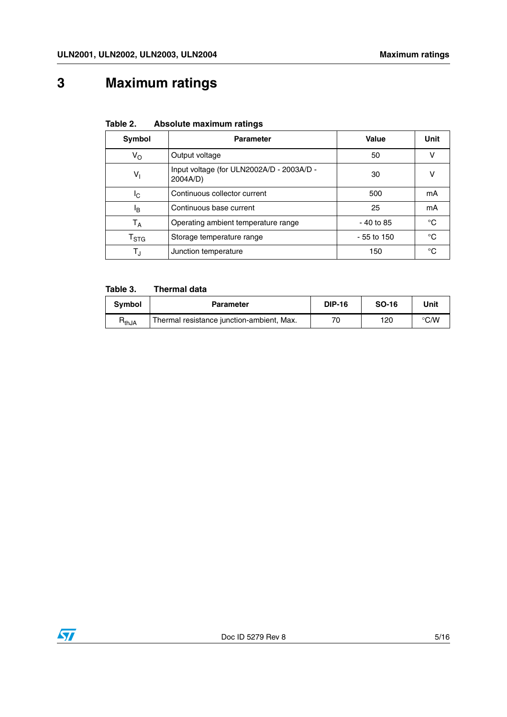# <span id="page-4-0"></span>**3 Maximum ratings**

| .<br>ADJUNU MAMMUHI TUNIYO  |                                                       |              |             |  |
|-----------------------------|-------------------------------------------------------|--------------|-------------|--|
| Symbol                      | <b>Parameter</b>                                      | Value        | <b>Unit</b> |  |
| $V_{\rm O}$                 | Output voltage                                        | 50           | ν           |  |
| $V_1$                       | Input voltage (for ULN2002A/D - 2003A/D -<br>2004A/D) | 30           | v           |  |
| Ιc                          | Continuous collector current                          | 500          | mA          |  |
| ΙB                          | Continuous base current                               | 25           | mA          |  |
| $T_A$                       | Operating ambient temperature range                   | $-40$ to 85  | °C          |  |
| $\mathsf{T}_{\textsf{STG}}$ | Storage temperature range                             | $-55$ to 150 | °C          |  |
| $T_{\rm J}$                 | Junction temperature                                  | 150          | °C          |  |

#### **Table 2. Absolute maximum ratings**

|  | Table 3. |  | <b>Thermal data</b> |  |
|--|----------|--|---------------------|--|
|--|----------|--|---------------------|--|

| Svmbol | <b>Parameter</b>                          | <b>DIP-16</b> | <b>SO-16</b> | Unit          |
|--------|-------------------------------------------|---------------|--------------|---------------|
| ⊓thJA  | Thermal resistance junction-ambient, Max. | 70            | 120          | $\degree$ C/W |

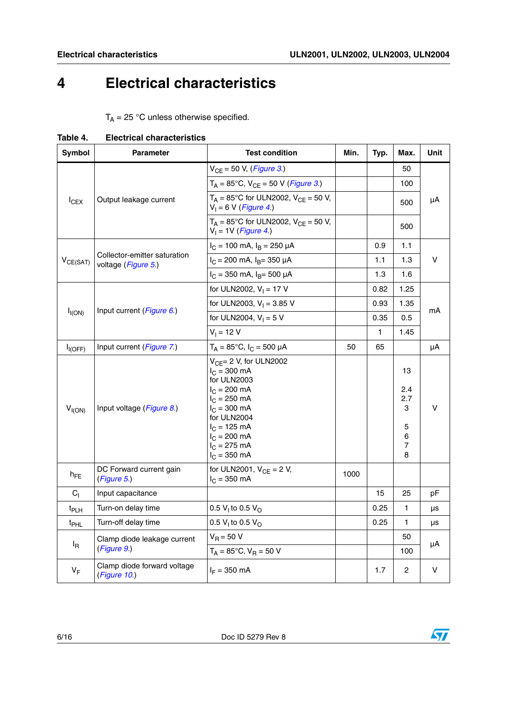# <span id="page-5-0"></span>**4 Electrical characteristics**

 $T_A = 25$  °C unless otherwise specified.

| <b>Symbol</b>                            | <b>Parameter</b>                                                  | <b>Test condition</b>                                                                                                                                                                                                                             | Min. | Typ. | Max.                                      | Unit |  |
|------------------------------------------|-------------------------------------------------------------------|---------------------------------------------------------------------------------------------------------------------------------------------------------------------------------------------------------------------------------------------------|------|------|-------------------------------------------|------|--|
|                                          |                                                                   | $V_{CF} = 50 V, (Figure 3.)$                                                                                                                                                                                                                      |      |      | 50                                        |      |  |
|                                          | $T_A = 85^{\circ}$ C, V <sub>CE</sub> = 50 V ( <i>Figure 3.</i> ) |                                                                                                                                                                                                                                                   |      | 100  |                                           |      |  |
| $I_{CEX}$                                | Output leakage current                                            | $T_A = 85^{\circ}$ C for ULN2002, V <sub>CE</sub> = 50 V,<br>$V_1 = 6 V (Figure 4.)$                                                                                                                                                              |      |      | 500                                       | μA   |  |
|                                          |                                                                   | $T_A = 85^{\circ}$ C for ULN2002, V <sub>CE</sub> = 50 V,<br>$V_1 = 1V$ ( <i>Figure 4.</i> )                                                                                                                                                      |      |      | 500                                       |      |  |
|                                          |                                                                   | $I_C = 100$ mA, $I_B = 250$ µA                                                                                                                                                                                                                    |      | 0.9  | 1.1                                       |      |  |
| $V_{CE(SAT)}$                            | Collector-emitter saturation<br>voltage (Figure 5.)               | $I_C$ = 200 mA, $I_B$ = 350 µA                                                                                                                                                                                                                    |      | 1.1  | 1.3                                       | v    |  |
|                                          |                                                                   | $I_C$ = 350 mA, $I_B$ = 500 µA                                                                                                                                                                                                                    |      | 1.3  | 1.6                                       |      |  |
|                                          |                                                                   | for ULN2002, $V_1 = 17 V$                                                                                                                                                                                                                         |      | 0.82 | 1.25                                      |      |  |
|                                          |                                                                   | for ULN2003, $V_1 = 3.85$ V                                                                                                                                                                                                                       |      | 0.93 | 1.35                                      |      |  |
| Input current (Figure 6.)<br>$I_{I(ON)}$ |                                                                   | for ULN2004, $V_1 = 5 V$                                                                                                                                                                                                                          |      | 0.35 | 0.5                                       | mA   |  |
|                                          |                                                                   | $V_1 = 12 V$                                                                                                                                                                                                                                      |      | 1    | 1.45                                      |      |  |
| $I_{I(OFF)}$                             | Input current (Figure 7.)                                         | $T_A = 85^{\circ}C$ , $I_C = 500 \mu A$                                                                                                                                                                                                           | 50   | 65   |                                           | μA   |  |
| $V_{I(ON)}$                              | Input voltage (Figure 8.)                                         | $V_{CE}$ = 2 V, for ULN2002<br>$I_C = 300 \text{ mA}$<br>for ULN2003<br>$I_C = 200 \text{ mA}$<br>$I_C = 250$ mA<br>$I_C = 300 \text{ mA}$<br>for ULN2004<br>$I_C = 125 \text{ mA}$<br>$I_C = 200 \text{ mA}$<br>$I_C = 275$ mA<br>$I_C = 350$ mA |      |      | 13<br>2.4<br>2.7<br>3<br>5<br>6<br>7<br>8 | v    |  |
| $h_{FE}$                                 | DC Forward current gain<br>(Figure 5.)                            | for ULN2001, $V_{CE} = 2 V$ ,<br>$I_C = 350$ mA                                                                                                                                                                                                   | 1000 |      |                                           |      |  |
| $C_{1}$                                  | Input capacitance                                                 |                                                                                                                                                                                                                                                   |      | 15   | 25                                        | рF   |  |
| t <sub>PLH</sub>                         | Turn-on delay time                                                | 0.5 V <sub>1</sub> to 0.5 V <sub>O</sub>                                                                                                                                                                                                          |      | 0.25 | 1                                         | μs   |  |
| t <sub>PHL</sub>                         | Turn-off delay time                                               | 0.5 $V_1$ to 0.5 $V_{\Omega}$                                                                                                                                                                                                                     |      | 0.25 | 1                                         | μs   |  |
|                                          | Clamp diode leakage current                                       | $V_B = 50 V$                                                                                                                                                                                                                                      |      |      | 50                                        |      |  |
| l <sub>R</sub>                           | (Figure 9.)                                                       | $T_A = 85^{\circ}$ C, V <sub>R</sub> = 50 V                                                                                                                                                                                                       |      |      | 100                                       | μA   |  |
| $V_F$                                    | Clamp diode forward voltage<br>(Figure 10.)                       | $I_F = 350$ mA                                                                                                                                                                                                                                    |      | 1.7  | 2                                         | v    |  |

**Table 4. Electrical characteristics**

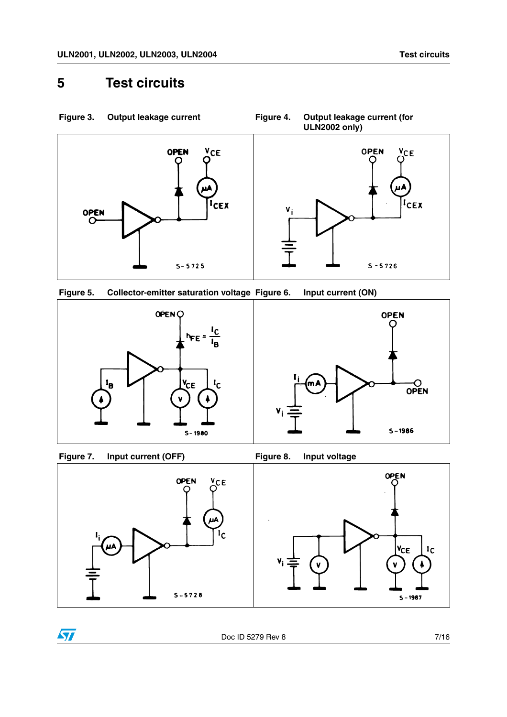## <span id="page-6-2"></span><span id="page-6-0"></span>**5 Test circuits**

<span id="page-6-1"></span>

<span id="page-6-3"></span>**Figure 5. Collector-emitter saturation voltage Figure 6. Input current (ON)**



<span id="page-6-5"></span>Figure 7. Input current (OFF) Figure 8. Input voltage

<span id="page-6-6"></span><span id="page-6-4"></span>



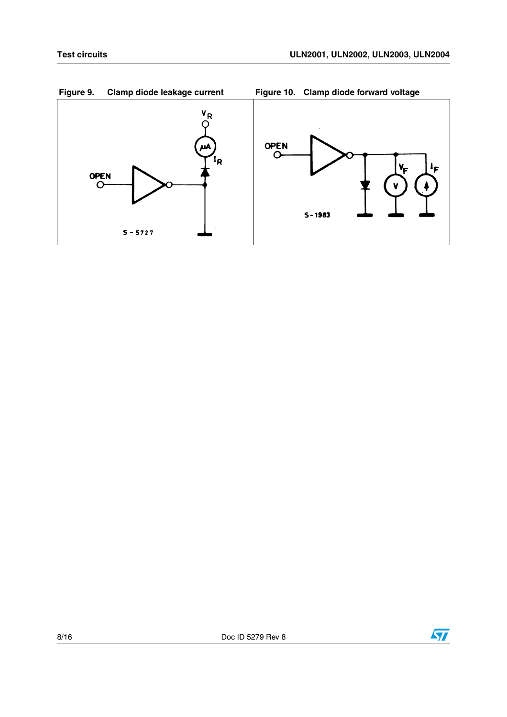<span id="page-7-0"></span>

<span id="page-7-1"></span>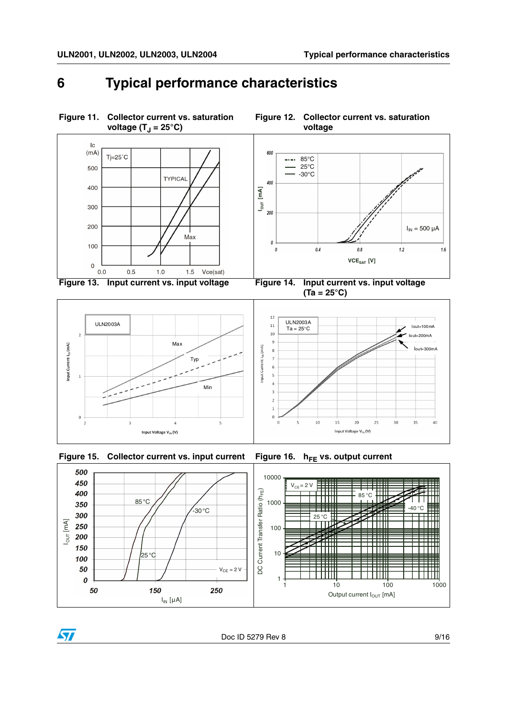## <span id="page-8-1"></span><span id="page-8-0"></span>**6 Typical performance characteristics**

<span id="page-8-2"></span>

<span id="page-8-4"></span>

<span id="page-8-5"></span><span id="page-8-3"></span>



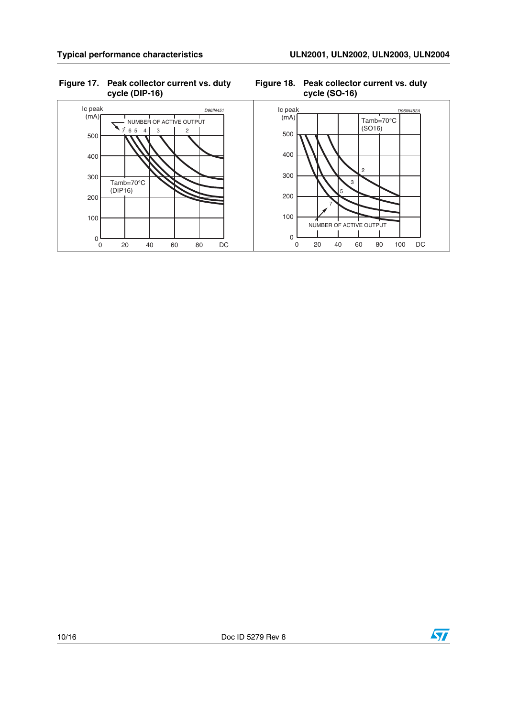#### **Figure 17. Peak collector current vs. duty cycle (DIP-16)**





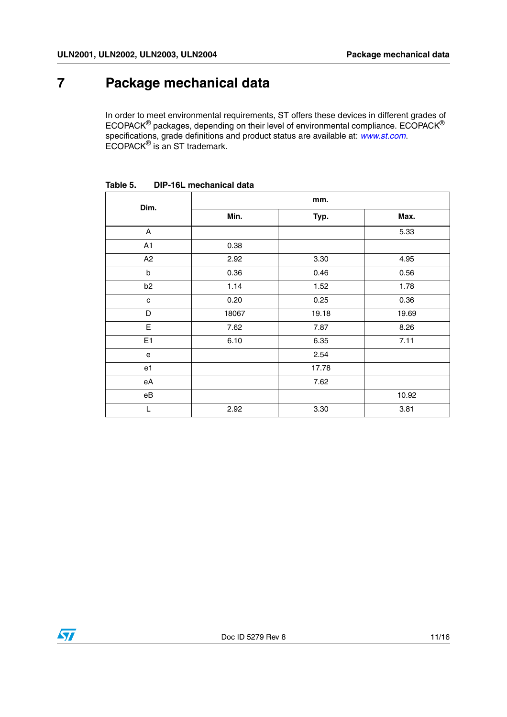## <span id="page-10-0"></span>**7 Package mechanical data**

In order to meet environmental requirements, ST offers these devices in different grades of ECOPACK $^{\circledR}$  packages, depending on their level of environmental compliance. ECOPACK $^{\circledR}$ specifications, grade definitions and product status are available at: [www.st.com](http://www.st.com). ECOPACK® is an ST trademark.

| Dim.           |       | mm.   |       |
|----------------|-------|-------|-------|
|                | Min.  | Typ.  | Max.  |
| A              |       |       | 5.33  |
| A1             | 0.38  |       |       |
| A2             | 2.92  | 3.30  | 4.95  |
| b              | 0.36  | 0.46  | 0.56  |
| b2             | 1.14  | 1.52  | 1.78  |
| c              | 0.20  | 0.25  | 0.36  |
| D              | 18067 | 19.18 | 19.69 |
| E              | 7.62  | 7.87  | 8.26  |
| E <sub>1</sub> | 6.10  | 6.35  | 7.11  |
| e              |       | 2.54  |       |
| e1             |       | 17.78 |       |
| eA             |       | 7.62  |       |
| eB             |       |       | 10.92 |
| L              | 2.92  | 3.30  | 3.81  |

<span id="page-10-1"></span>**Table 5. DIP-16L mechanical data**

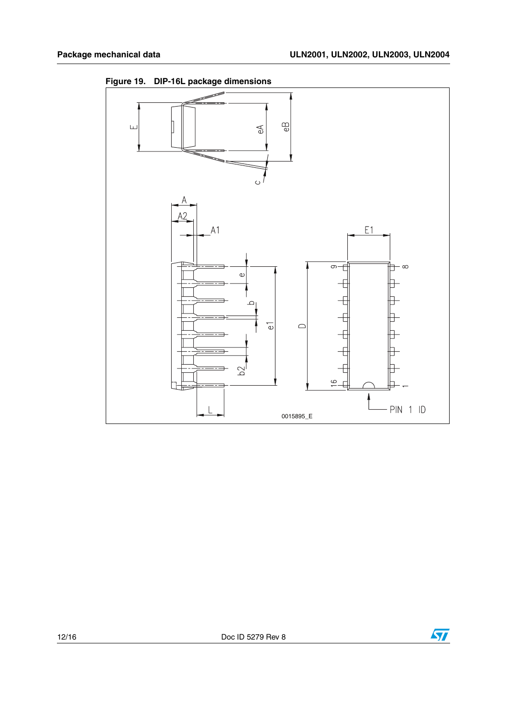

<span id="page-11-0"></span>**Figure 19. DIP-16L package dimensions**

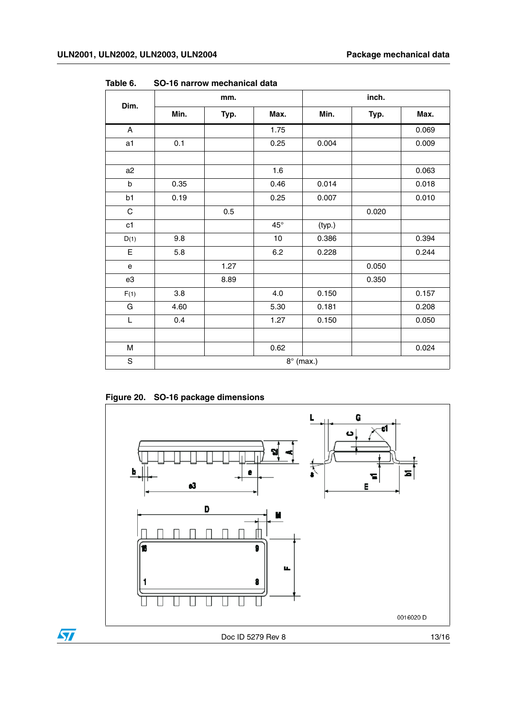| .           |         |      |              |                  |       |       |
|-------------|---------|------|--------------|------------------|-------|-------|
|             | mm.     |      |              | inch.            |       |       |
| Dim.        | Min.    | Typ. | Max.         | Min.             | Typ.  | Max.  |
| A           |         |      | 1.75         |                  |       | 0.069 |
| a1          | 0.1     |      | 0.25         | 0.004            |       | 0.009 |
|             |         |      |              |                  |       |       |
| a2          |         |      | 1.6          |                  |       | 0.063 |
| $\sf b$     | 0.35    |      | 0.46         | 0.014            |       | 0.018 |
| b1          | 0.19    |      | 0.25         | 0.007            |       | 0.010 |
| $\mathsf C$ |         | 0.5  |              |                  | 0.020 |       |
| c1          |         |      | $45^{\circ}$ | (typ.)           |       |       |
| D(1)        | 9.8     |      | 10           | 0.386            |       | 0.394 |
| E           | 5.8     |      | 6.2          | 0.228            |       | 0.244 |
| $\mathbf e$ |         | 1.27 |              |                  | 0.050 |       |
| e3          |         | 8.89 |              |                  | 0.350 |       |
| F(1)        | $3.8\,$ |      | 4.0          | 0.150            |       | 0.157 |
| G           | 4.60    |      | 5.30         | 0.181            |       | 0.208 |
| L           | 0.4     |      | 1.27         | 0.150            |       | 0.050 |
|             |         |      |              |                  |       |       |
| M           |         |      | 0.62         |                  |       | 0.024 |
| $\mathbf S$ |         |      |              | $8^\circ$ (max.) |       |       |

Table 6. **Table 6. SO-16 narrow mechanical data**

**Figure 20. SO-16 package dimensions**

 $\sqrt{2}$ 

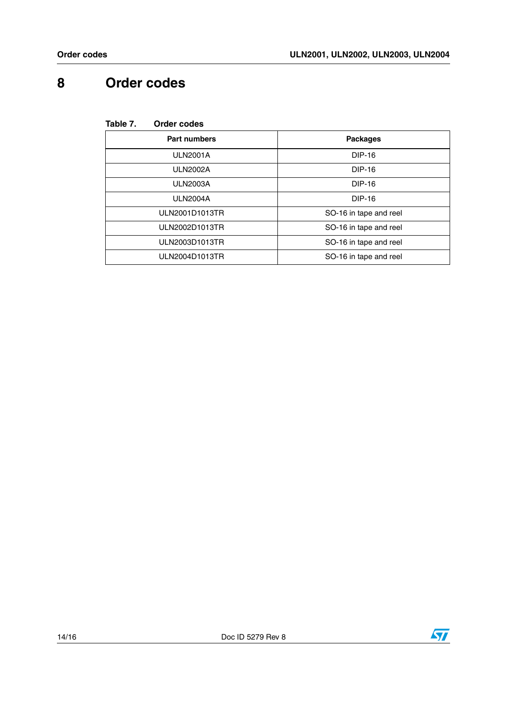## <span id="page-13-0"></span>**8 Order codes**

| Table 7. |  | <b>Order codes</b> |
|----------|--|--------------------|
|----------|--|--------------------|

| <b>Part numbers</b> | <b>Packages</b>        |
|---------------------|------------------------|
| <b>ULN2001A</b>     | <b>DIP-16</b>          |
| <b>ULN2002A</b>     | DIP-16                 |
| <b>ULN2003A</b>     | DIP-16                 |
| <b>ULN2004A</b>     | DIP-16                 |
| ULN2001D1013TR      | SO-16 in tape and reel |
| ULN2002D1013TR      | SO-16 in tape and reel |
| ULN2003D1013TR      | SO-16 in tape and reel |
| ULN2004D1013TR      | SO-16 in tape and reel |

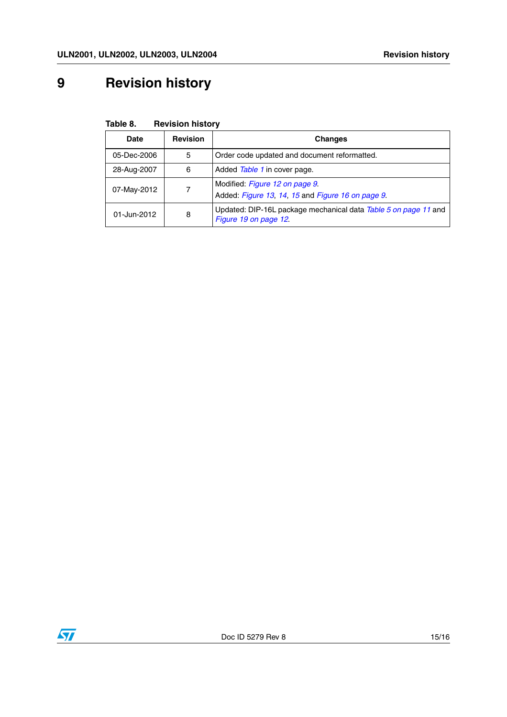# <span id="page-14-0"></span>**9 Revision history**

| Table 8. | <b>Revision history</b> |  |
|----------|-------------------------|--|
|----------|-------------------------|--|

| Date        | <b>Revision</b> | <b>Changes</b>                                                                           |
|-------------|-----------------|------------------------------------------------------------------------------------------|
| 05-Dec-2006 | 5               | Order code updated and document reformatted.                                             |
| 28-Aug-2007 | 6               | Added Table 1 in cover page.                                                             |
| 07-May-2012 |                 | Modified: Figure 12 on page 9.<br>Added: Figure 13, 14, 15 and Figure 16 on page 9.      |
| 01-Jun-2012 | 8               | Updated: DIP-16L package mechanical data Table 5 on page 11 and<br>Figure 19 on page 12. |